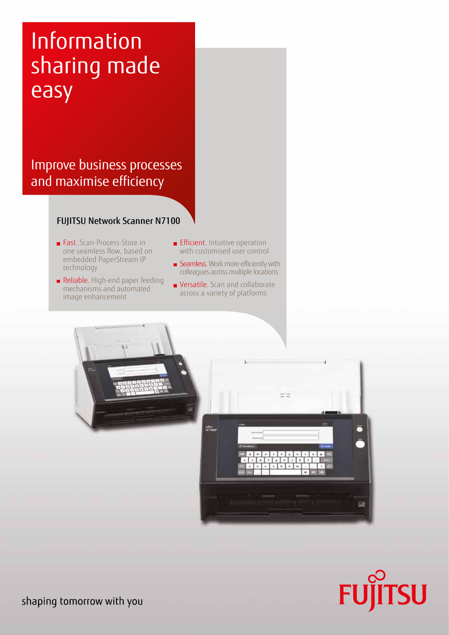# Information sharing made easy

### Improve business processes and maximise efficiency

#### FUJITSU Network Scanner N7100

- Fast. Scan-Process-Store in one seamless flow, based on embedded PaperStream IP technology
- Reliable. High-end paper feeding mechanisms and automated image enhancement
- **Efficient.** Intuitive operation with customised user control
- Seamless. Work more efficiently with colleagues across multiple locations
- **versatile.** Scan and collaborate across a variety of platforms



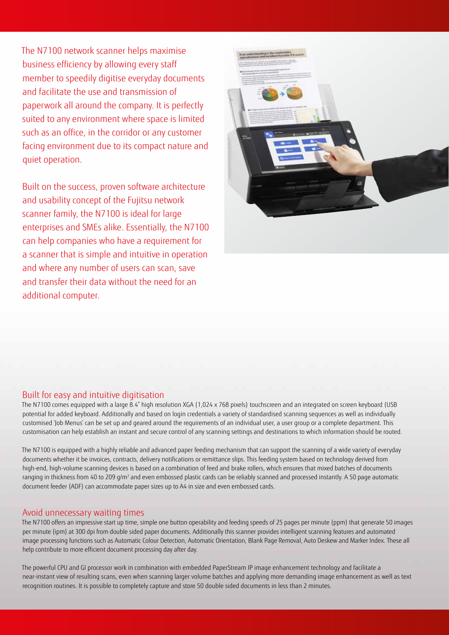The N7100 network scanner helps maximise business efficiency by allowing every staff member to speedily digitise everyday documents and facilitate the use and transmission of paperwork all around the company. It is perfectly suited to any environment where space is limited such as an office, in the corridor or any customer facing environment due to its compact nature and quiet operation.

Built on the success, proven software architecture and usability concept of the Fujitsu network scanner family, the N7100 is ideal for large enterprises and SMEs alike. Essentially, the N7100 can help companies who have a requirement for a scanner that is simple and intuitive in operation and where any number of users can scan, save and transfer their data without the need for an additional computer.



#### Built for easy and intuitive digitisation

The N7100 comes equipped with a large 8.4" high resolution XGA (1,024 x 768 pixels) touchscreen and an integrated on screen keyboard (USB potential for added keyboard. Additionally and based on login credentials a variety of standardised scanning sequences as well as individually customised 'Job Menus' can be set up and geared around the requirements of an individual user, a user group or a complete department. This customisation can help establish an instant and secure control of any scanning settings and destinations to which information should be routed.

The N7100 is equipped with a highly reliable and advanced paper feeding mechanism that can support the scanning of a wide variety of everyday documents whether it be invoices, contracts, delivery notifications or remittance slips. This feeding system based on technology derived from high-end, high-volume scanning devices is based on a combination of feed and brake rollers, which ensures that mixed batches of documents ranging in thickness from 40 to 209 g/m² and even embossed plastic cards can be reliably scanned and processed instantly. A 50 page automatic document feeder (ADF) can accommodate paper sizes up to A4 in size and even embossed cards.

#### Avoid unnecessary waiting times

The N7100 offers an impressive start up time, simple one button operability and feeding speeds of 25 pages per minute (ppm) that generate 50 images per minute (ipm) at 300 dpi from double sided paper documents. Additionally this scanner provides intelligent scanning features and automated image processing functions such as Automatic Colour Detection, Automatic Orientation, Blank Page Removal, Auto Deskew and Marker Index. These all help contribute to more efficient document processing day after day.

The powerful CPU and GI processor work in combination with embedded PaperStream IP image enhancement technology and facilitate a near-instant view of resulting scans, even when scanning larger volume batches and applying more demanding image enhancement as well as text recognition routines. It is possible to completely capture and store 50 double sided documents in less than 2 minutes.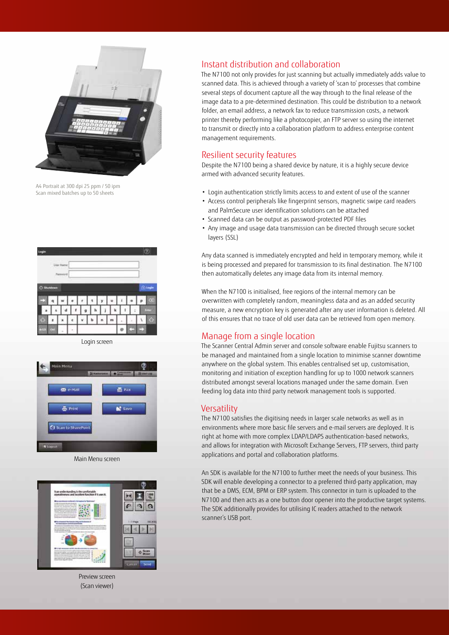

A4 Portrait at 300 dpi 25 ppm / 50 ipm Scan mixed batches up to 50 sheets



Login screen

![](_page_2_Picture_4.jpeg)

![](_page_2_Picture_5.jpeg)

![](_page_2_Picture_6.jpeg)

Preview screen (Scan viewer)

#### Instant distribution and collaboration

The N7100 not only provides for just scanning but actually immediately adds value to scanned data. This is achieved through a variety of 'scan to' processes that combine several steps of document capture all the way through to the final release of the image data to a pre-determined destination. This could be distribution to a network folder, an email address, a network fax to reduce transmission costs, a network printer thereby performing like a photocopier, an FTP server so using the internet to transmit or directly into a collaboration platform to address enterprise content management requirements.

#### Resilient security features

Despite the N7100 being a shared device by nature, it is a highly secure device armed with advanced security features.

- Login authentication strictly limits access to and extent of use of the scanner
- Access control peripherals like fingerprint sensors, magnetic swipe card readers and PalmSecure user identification solutions can be attached
- Scanned data can be output as password-protected PDF files
- Any image and usage data transmission can be directed through secure socket layers (SSL)

Any data scanned is immediately encrypted and held in temporary memory, while it is being processed and prepared for transmission to its final destination. The N7100 then automatically deletes any image data from its internal memory.

When the N7100 is initialised, free regions of the internal memory can be overwritten with completely random, meaningless data and as an added security measure, a new encryption key is generated after any user information is deleted. All of this ensures that no trace of old user data can be retrieved from open memory.

#### Manage from a single location

The Scanner Central Admin server and console software enable Fujitsu scanners to be managed and maintained from a single location to minimise scanner downtime anywhere on the global system. This enables centralised set up, customisation, monitoring and initiation of exception handling for up to 1000 network scanners distributed amongst several locations managed under the same domain. Even feeding log data into third party network management tools is supported.

#### **Versatility**

The N7100 satisfies the digitising needs in larger scale networks as well as in environments where more basic file servers and e-mail servers are deployed. It is right at home with more complex LDAP/LDAPS authentication-based networks, and allows for integration with Microsoft Exchange Servers, FTP servers, third party applications and portal and collaboration platforms.

An SDK is available for the N7100 to further meet the needs of your business. This SDK will enable developing a connector to a preferred third-party application, may that be a DMS, ECM, BPM or ERP system. This connector in turn is uploaded to the N7100 and then acts as a one button door opener into the productive target systems. The SDK additionally provides for utilising IC readers attached to the network scanner's USB port.